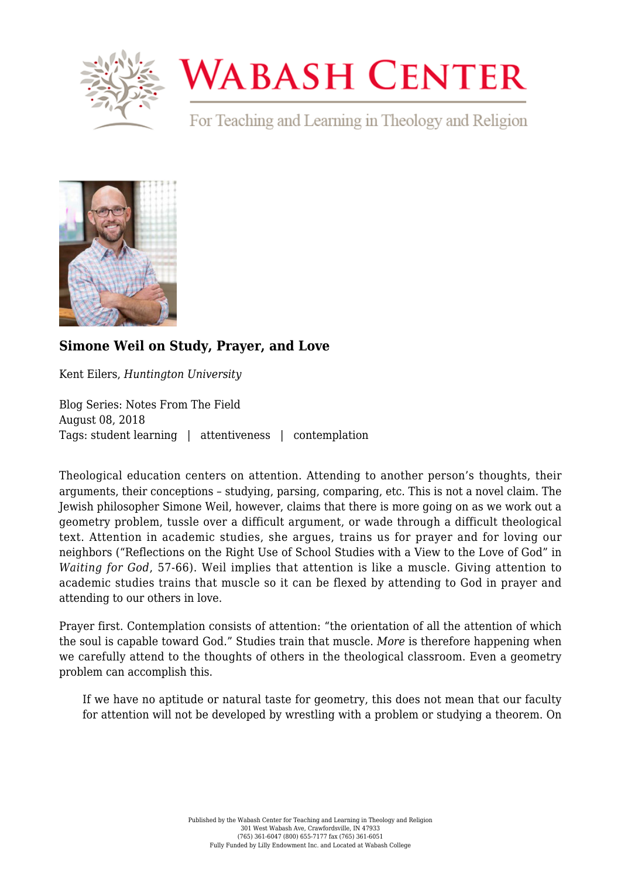

## **WABASH CENTER**

For Teaching and Learning in Theology and Religion



## **[Simone Weil on Study, Prayer, and Love](https://www.wabashcenter.wabash.edu/2018/08/simone-weil-on-study-prayer-and-love/)**

Kent Eilers, *Huntington University*

Blog Series: Notes From The Field August 08, 2018 Tags: student learning | attentiveness | contemplation

Theological education centers on attention. Attending to another person's thoughts, their arguments, their conceptions – studying, parsing, comparing, etc. This is not a novel claim. The Jewish philosopher Simone Weil, however, claims that there is more going on as we work out a geometry problem, tussle over a difficult argument, or wade through a difficult theological text. Attention in academic studies, she argues, trains us for prayer and for loving our neighbors ("Reflections on the Right Use of School Studies with a View to the Love of God" in *Waiting for God*, 57-66). Weil implies that attention is like a muscle. Giving attention to academic studies trains that muscle so it can be flexed by attending to God in prayer and attending to our others in love.

Prayer first. Contemplation consists of attention: "the orientation of all the attention of which the soul is capable toward God." Studies train that muscle. *More* is therefore happening when we carefully attend to the thoughts of others in the theological classroom. Even a geometry problem can accomplish this.

If we have no aptitude or natural taste for geometry, this does not mean that our faculty for attention will not be developed by wrestling with a problem or studying a theorem. On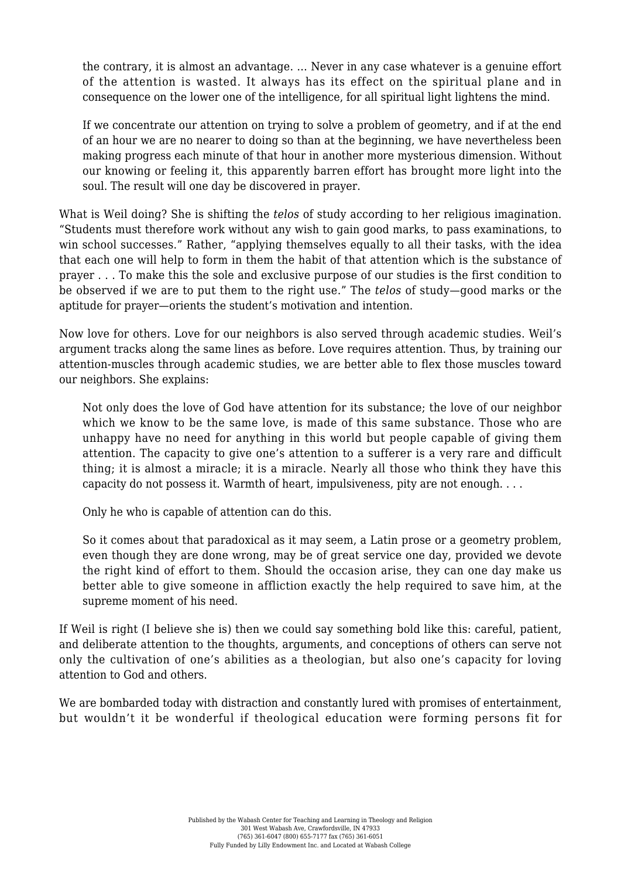the contrary, it is almost an advantage. … Never in any case whatever is a genuine effort of the attention is wasted. It always has its effect on the spiritual plane and in consequence on the lower one of the intelligence, for all spiritual light lightens the mind.

If we concentrate our attention on trying to solve a problem of geometry, and if at the end of an hour we are no nearer to doing so than at the beginning, we have nevertheless been making progress each minute of that hour in another more mysterious dimension. Without our knowing or feeling it, this apparently barren effort has brought more light into the soul. The result will one day be discovered in prayer.

What is Weil doing? She is shifting the *telos* of study according to her religious imagination. "Students must therefore work without any wish to gain good marks, to pass examinations, to win school successes." Rather, "applying themselves equally to all their tasks, with the idea that each one will help to form in them the habit of that attention which is the substance of prayer . . . To make this the sole and exclusive purpose of our studies is the first condition to be observed if we are to put them to the right use." The *telos* of study—good marks or the aptitude for prayer—orients the student's motivation and intention.

Now love for others. Love for our neighbors is also served through academic studies. Weil's argument tracks along the same lines as before. Love requires attention. Thus, by training our attention-muscles through academic studies, we are better able to flex those muscles toward our neighbors. She explains:

Not only does the love of God have attention for its substance; the love of our neighbor which we know to be the same love, is made of this same substance. Those who are unhappy have no need for anything in this world but people capable of giving them attention. The capacity to give one's attention to a sufferer is a very rare and difficult thing; it is almost a miracle; it is a miracle. Nearly all those who think they have this capacity do not possess it. Warmth of heart, impulsiveness, pity are not enough. . . .

Only he who is capable of attention can do this.

So it comes about that paradoxical as it may seem, a Latin prose or a geometry problem, even though they are done wrong, may be of great service one day, provided we devote the right kind of effort to them. Should the occasion arise, they can one day make us better able to give someone in affliction exactly the help required to save him, at the supreme moment of his need.

If Weil is right (I believe she is) then we could say something bold like this: careful, patient, and deliberate attention to the thoughts, arguments, and conceptions of others can serve not only the cultivation of one's abilities as a theologian, but also one's capacity for loving attention to God and others.

We are bombarded today with distraction and constantly lured with promises of entertainment. but wouldn't it be wonderful if theological education were forming persons fit for